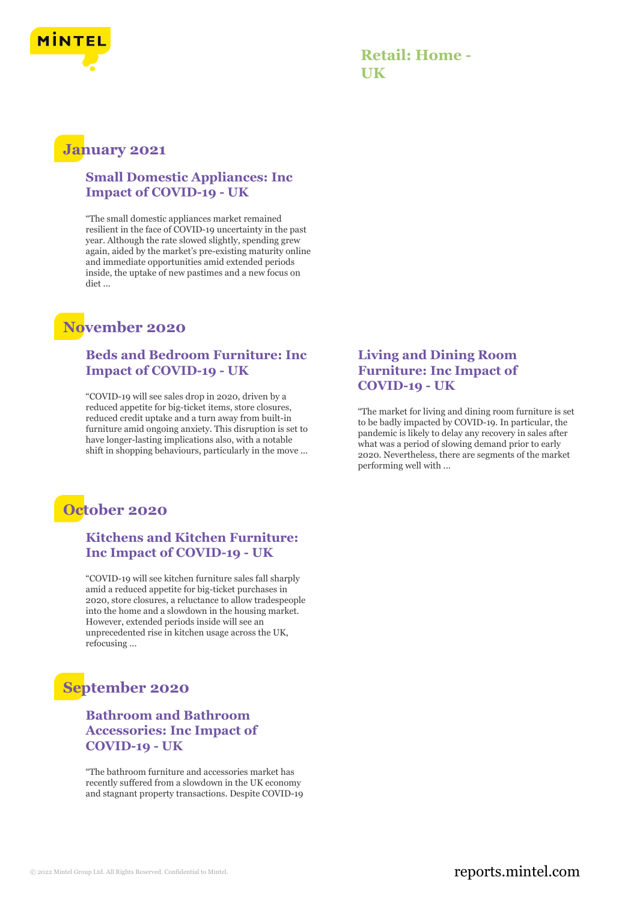

# **January 2021**

#### **Small Domestic Appliances: Inc Impact of COVID-19 - UK**

"The small domestic appliances market remained resilient in the face of COVID-19 uncertainty in the past year. Although the rate slowed slightly, spending grew again, aided by the market's pre-existing maturity online and immediate opportunities amid extended periods inside, the uptake of new pastimes and a new focus on diet ...

# **November 2020**

#### **Beds and Bedroom Furniture: Inc Impact of COVID-19 - UK**

"COVID-19 will see sales drop in 2020, driven by a reduced appetite for big-ticket items, store closures, reduced credit uptake and a turn away from built-in furniture amid ongoing anxiety. This disruption is set to have longer-lasting implications also, with a notable shift in shopping behaviours, particularly in the move ...

# **October 2020**

#### **Kitchens and Kitchen Furniture: Inc Impact of COVID-19 - UK**

"COVID-19 will see kitchen furniture sales fall sharply amid a reduced appetite for big-ticket purchases in 2020, store closures, a reluctance to allow tradespeople into the home and a slowdown in the housing market. However, extended periods inside will see an unprecedented rise in kitchen usage across the UK, refocusing ...

# **September 2020**

#### **Bathroom and Bathroom Accessories: Inc Impact of COVID-19 - UK**

"The bathroom furniture and accessories market has recently suffered from a slowdown in the UK economy and stagnant property transactions. Despite COVID-19

### **Living and Dining Room Furniture: Inc Impact of COVID-19 - UK**

"The market for living and dining room furniture is set to be badly impacted by COVID-19. In particular, the pandemic is likely to delay any recovery in sales after what was a period of slowing demand prior to early 2020. Nevertheless, there are segments of the market performing well with ...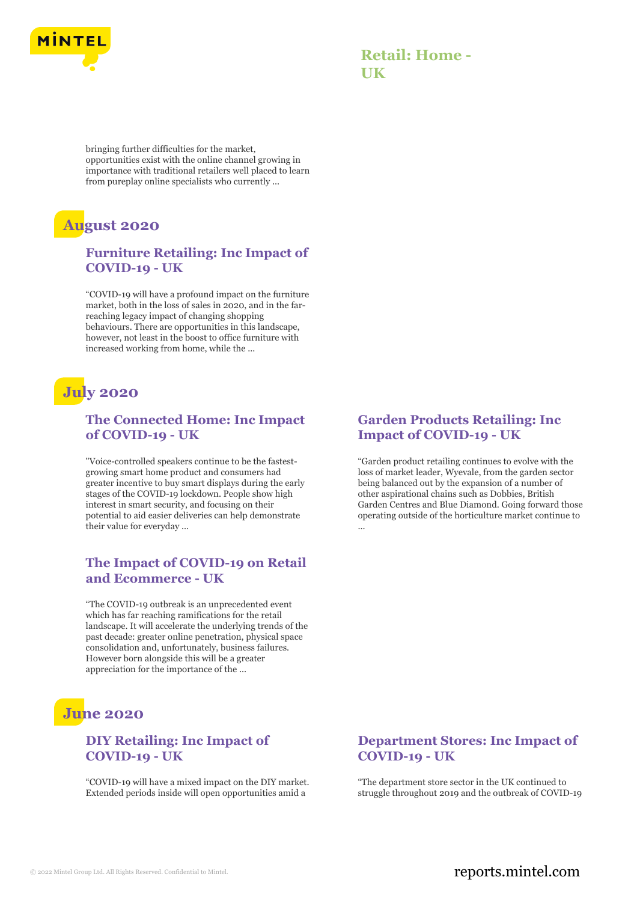

bringing further difficulties for the market, opportunities exist with the online channel growing in importance with traditional retailers well placed to learn from pureplay online specialists who currently ...

# **August 2020**

#### **Furniture Retailing: Inc Impact of COVID-19 - UK**

"COVID-19 will have a profound impact on the furniture market, both in the loss of sales in 2020, and in the farreaching legacy impact of changing shopping behaviours. There are opportunities in this landscape, however, not least in the boost to office furniture with increased working from home, while the ...

# **July 2020**

#### **The Connected Home: Inc Impact of COVID-19 - UK**

"Voice-controlled speakers continue to be the fastestgrowing smart home product and consumers had greater incentive to buy smart displays during the early stages of the COVID-19 lockdown. People show high interest in smart security, and focusing on their potential to aid easier deliveries can help demonstrate their value for everyday ...

#### **The Impact of COVID-19 on Retail and Ecommerce - UK**

"The COVID-19 outbreak is an unprecedented event which has far reaching ramifications for the retail landscape. It will accelerate the underlying trends of the past decade: greater online penetration, physical space consolidation and, unfortunately, business failures. However born alongside this will be a greater appreciation for the importance of the ...

# **June 2020**

#### **DIY Retailing: Inc Impact of COVID-19 - UK**

"COVID-19 will have a mixed impact on the DIY market. Extended periods inside will open opportunities amid a

#### **Garden Products Retailing: Inc Impact of COVID-19 - UK**

"Garden product retailing continues to evolve with the loss of market leader, Wyevale, from the garden sector being balanced out by the expansion of a number of other aspirational chains such as Dobbies, British Garden Centres and Blue Diamond. Going forward those operating outside of the horticulture market continue to ...

### **Department Stores: Inc Impact of COVID-19 - UK**

"The department store sector in the UK continued to struggle throughout 2019 and the outbreak of COVID-19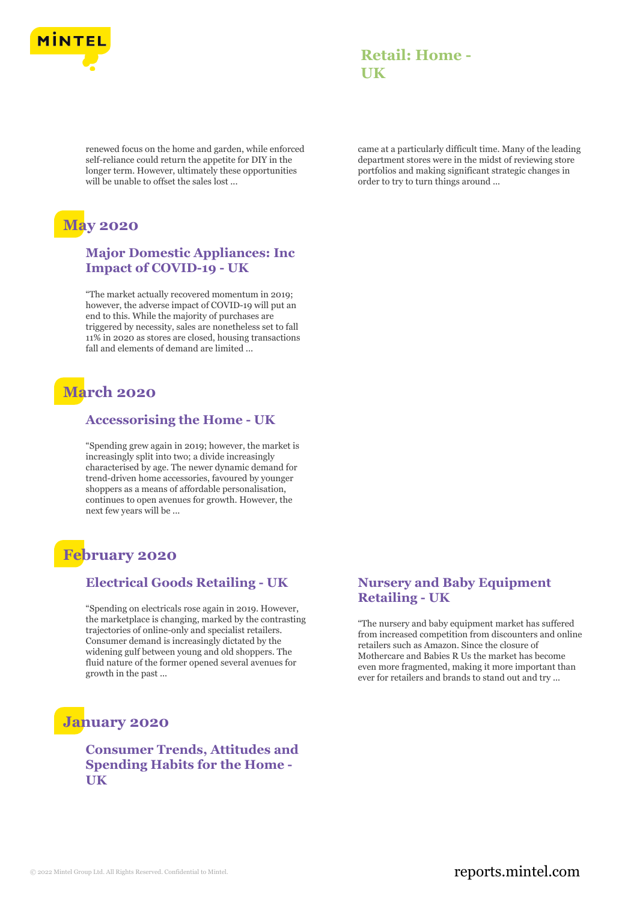

renewed focus on the home and garden, while enforced self-reliance could return the appetite for DIY in the longer term. However, ultimately these opportunities will be unable to offset the sales lost ...

# **May 2020**

#### **Major Domestic Appliances: Inc Impact of COVID-19 - UK**

"The market actually recovered momentum in 2019; however, the adverse impact of COVID-19 will put an end to this. While the majority of purchases are triggered by necessity, sales are nonetheless set to fall 11% in 2020 as stores are closed, housing transactions fall and elements of demand are limited ...

# **March 2020**

#### **Accessorising the Home - UK**

"Spending grew again in 2019; however, the market is increasingly split into two; a divide increasingly characterised by age. The newer dynamic demand for trend-driven home accessories, favoured by younger shoppers as a means of affordable personalisation, continues to open avenues for growth. However, the next few years will be ...

# **February 2020**

#### **Electrical Goods Retailing - UK**

"Spending on electricals rose again in 2019. However, the marketplace is changing, marked by the contrasting trajectories of online-only and specialist retailers. Consumer demand is increasingly dictated by the widening gulf between young and old shoppers. The fluid nature of the former opened several avenues for growth in the past ...

# **January 2020**

#### **Consumer Trends, Attitudes and Spending Habits for the Home - UK**

came at a particularly difficult time. Many of the leading department stores were in the midst of reviewing store portfolios and making significant strategic changes in order to try to turn things around ...

#### **Nursery and Baby Equipment Retailing - UK**

"The nursery and baby equipment market has suffered from increased competition from discounters and online retailers such as Amazon. Since the closure of Mothercare and Babies R Us the market has become even more fragmented, making it more important than ever for retailers and brands to stand out and try ...